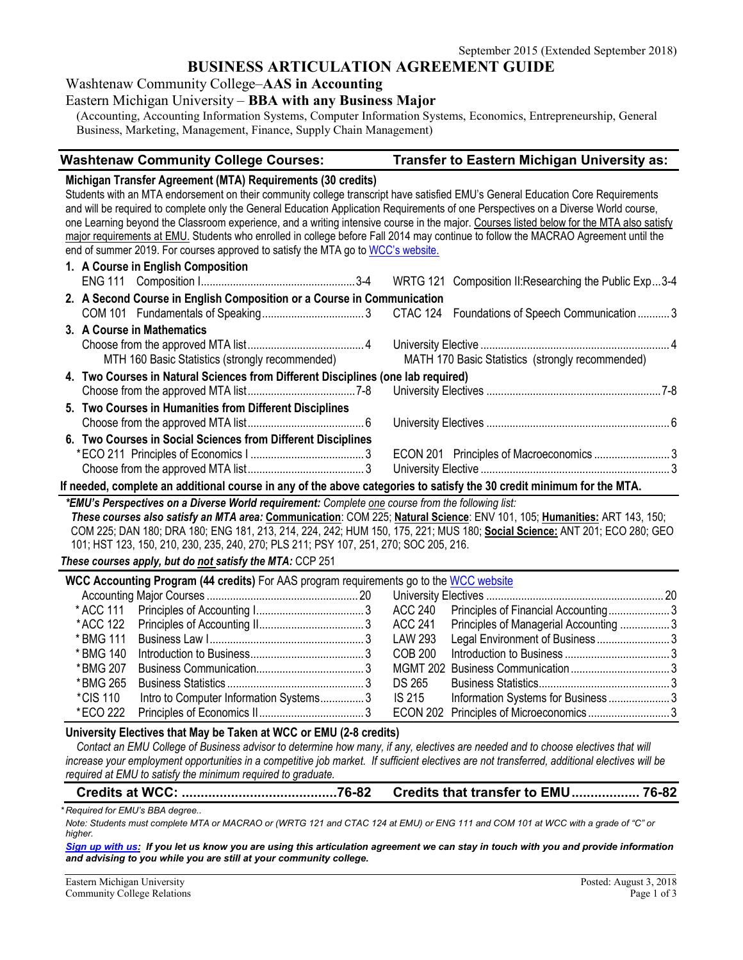## **BUSINESS ARTICULATION AGREEMENT GUIDE**

Washtenaw Community College–**AAS in Accounting**

### Eastern Michigan University – **BBA with any Business Major**

(Accounting, Accounting Information Systems, Computer Information Systems, Economics, Entrepreneurship, General Business, Marketing, Management, Finance, Supply Chain Management)

#### **Washtenaw Community College Courses: Transfer to Eastern Michigan University as:**

**Michigan Transfer Agreement (MTA) Requirements (30 credits)** Students with an MTA endorsement on their community college transcript have satisfied EMU's General Education Core Requirements and will be required to complete only the General Education Application Requirements of one Perspectives on a Diverse World course, one Learning beyond the Classroom experience, and a writing intensive course in the major. Courses listed below for the MTA also satisfy major requirements at EMU. Students who enrolled in college before Fall 2014 may continue to follow the MACRAO Agreement until the end of summer 2019. For courses approved to satisfy the MTA go t[o WCC's website.](http://www.wccnet.edu/services/transferresources/mta/) **1. A Course in English Composition**

| <b>1. A COURSE IN ENGLISH COMPOSITION</b> |                                                                                                                         |                                                                                                                           |                                                                                                                                                                                |
|-------------------------------------------|-------------------------------------------------------------------------------------------------------------------------|---------------------------------------------------------------------------------------------------------------------------|--------------------------------------------------------------------------------------------------------------------------------------------------------------------------------|
|                                           |                                                                                                                         |                                                                                                                           |                                                                                                                                                                                |
|                                           |                                                                                                                         |                                                                                                                           |                                                                                                                                                                                |
|                                           |                                                                                                                         |                                                                                                                           |                                                                                                                                                                                |
| 3. A Course in Mathematics                |                                                                                                                         |                                                                                                                           |                                                                                                                                                                                |
|                                           |                                                                                                                         |                                                                                                                           |                                                                                                                                                                                |
|                                           |                                                                                                                         |                                                                                                                           |                                                                                                                                                                                |
|                                           |                                                                                                                         |                                                                                                                           |                                                                                                                                                                                |
|                                           |                                                                                                                         |                                                                                                                           |                                                                                                                                                                                |
|                                           |                                                                                                                         |                                                                                                                           |                                                                                                                                                                                |
|                                           |                                                                                                                         |                                                                                                                           |                                                                                                                                                                                |
|                                           |                                                                                                                         |                                                                                                                           |                                                                                                                                                                                |
|                                           |                                                                                                                         |                                                                                                                           |                                                                                                                                                                                |
|                                           |                                                                                                                         |                                                                                                                           |                                                                                                                                                                                |
|                                           | 5. Two Courses in Humanities from Different Disciplines<br>6. Two Courses in Social Sciences from Different Disciplines | 2. A Second Course in English Composition or a Course in Communication<br>MTH 160 Basic Statistics (strongly recommended) | MATH 170 Basic Statistics (strongly recommended)<br>4. Two Courses in Natural Sciences from Different Disciplines (one lab required)<br>ECON 201 Principles of Macroeconomics3 |

**If needed, complete an additional course in any of the above categories to satisfy the 30 credit minimum for the MTA.**

*\*EMU's Perspectives on a Diverse World requirement: Complete one course from the following list: These courses also satisfy an MTA area:* **Communication**: COM 225; **Natural Science**: ENV 101, 105; **Humanities:** ART 143, 150; COM 225; DAN 180; DRA 180; ENG 181, 213, 214, 224, 242; HUM 150, 175, 221; MUS 180; **Social Science:** ANT 201; ECO 280; GEO 101; HST 123, 150, 210, 230, 235, 240, 270; PLS 211; PSY 107, 251, 270; SOC 205, 216.

*These courses apply, but do not satisfy the MTA:* CCP 251

| <b>WCC Accounting Program (44 credits)</b> For AAS program requirements go to the WCC website |                                        |  |         |                                   |  |
|-----------------------------------------------------------------------------------------------|----------------------------------------|--|---------|-----------------------------------|--|
|                                                                                               |                                        |  |         |                                   |  |
|                                                                                               |                                        |  |         |                                   |  |
|                                                                                               |                                        |  |         |                                   |  |
|                                                                                               |                                        |  | LAW 293 | Legal Environment of Business3    |  |
|                                                                                               |                                        |  | COB 200 |                                   |  |
|                                                                                               |                                        |  |         |                                   |  |
|                                                                                               |                                        |  | DS 265  |                                   |  |
| *CIS 110                                                                                      | Intro to Computer Information Systems3 |  | IS 215  | Information Systems for Business3 |  |
| *ECO 222                                                                                      |                                        |  |         |                                   |  |

#### **University Electives that May be Taken at WCC or EMU (2-8 credits)**

*Contact an EMU College of Business advisor to determine how many, if any, electives are needed and to choose electives that will increase your employment opportunities in a competitive job market. If sufficient electives are not transferred, additional electives will be required at EMU to satisfy the minimum required to graduate.*

| Credits that transfer to EMU 76-82 |
|------------------------------------|
|                                    |

*\* Required for EMU's BBA degree..* 

*Note: Students must complete MTA or MACRAO or (WRTG 121 and CTAC 124 at EMU) or ENG 111 and COM 101 at WCC with a grade of "C" or higher.*

*[Sign up with us:](https://www.emich.edu/ccr/articulation-agreements/signup.php) If you let us know you are using this articulation agreement we can stay in touch with you and provide information and advising to you while you are still at your community college.*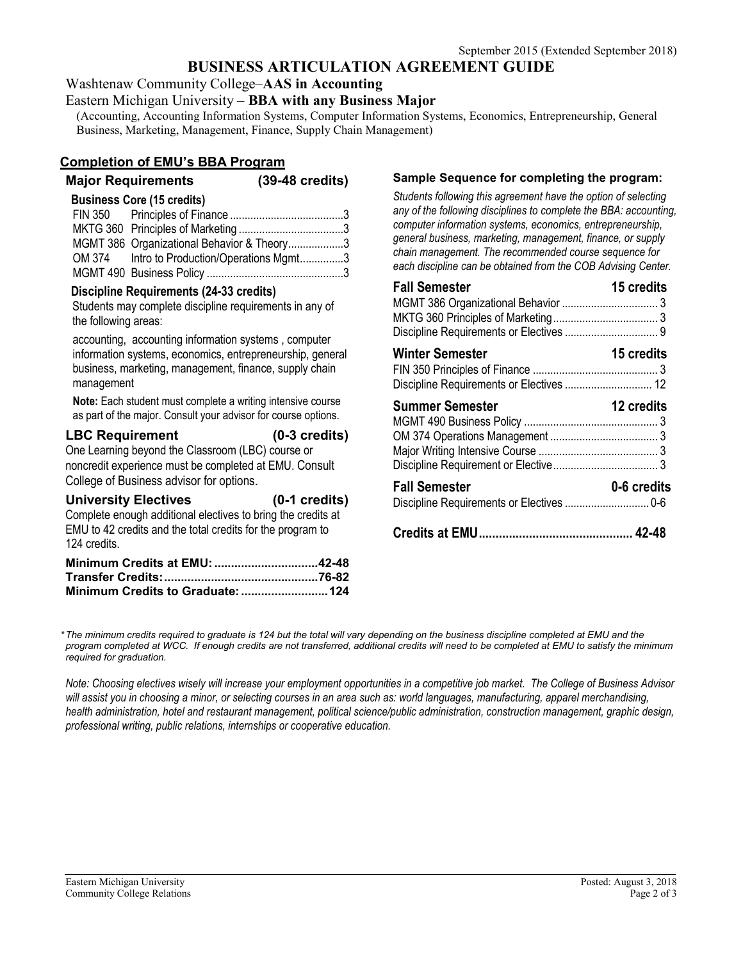# **BUSINESS ARTICULATION AGREEMENT GUIDE**

Washtenaw Community College–**AAS in Accounting**

#### Eastern Michigan University – **BBA with any Business Major**

(Accounting, Accounting Information Systems, Computer Information Systems, Economics, Entrepreneurship, General Business, Marketing, Management, Finance, Supply Chain Management)

## **Completion of EMU's BBA Program**

**Major Requirements (39-48 credits)**

### **Business Core (15 credits)**

| MGMT 386 Organizational Behavior & Theory3  |  |
|---------------------------------------------|--|
| OM 374 Intro to Production/Operations Mgmt3 |  |
|                                             |  |

### **Discipline Requirements (24-33 credits)**

Students may complete discipline requirements in any of the following areas:

accounting, accounting information systems , computer information systems, economics, entrepreneurship, general business, marketing, management, finance, supply chain management

**Note:** Each student must complete a writing intensive course as part of the major. Consult your advisor for course options.

#### **LBC Requirement (0-3 credits)** One Learning beyond the Classroom (LBC) course or noncredit experience must be completed at EMU. Consult College of Business advisor for options.

| <b>University Electives</b>                                  | $(0-1)$ credits) |
|--------------------------------------------------------------|------------------|
| Complete enough additional electives to bring the credits at |                  |
| EMU to 42 credits and the total credits for the program to   |                  |
| 124 credits.                                                 |                  |
| Minimum Cradits at FMII.                                     | 42-48            |

| Minimum Credits at EMU: 42-48 |  |
|-------------------------------|--|
|                               |  |
|                               |  |
|                               |  |

## **Sample Sequence for completing the program:**

*Students following this agreement have the option of selecting any of the following disciplines to complete the BBA: accounting, computer information systems, economics, entrepreneurship, general business, marketing, management, finance, or supply chain management. The recommended course sequence for each discipline can be obtained from the COB Advising Center.* 

| <b>Fall Semester</b>                                               | 15 credits  |
|--------------------------------------------------------------------|-------------|
| <b>Winter Semester</b><br>Discipline Requirements or Electives  12 | 15 credits  |
| <b>Summer Semester</b>                                             | 12 credits  |
| <b>Fall Semester</b>                                               | 0-6 credits |
|                                                                    |             |

*\*The minimum credits required to graduate is 124 but the total will vary depending on the business discipline completed at EMU and the program completed at WCC. If enough credits are not transferred, additional credits will need to be completed at EMU to satisfy the minimum required for graduation.*

*Note: Choosing electives wisely will increase your employment opportunities in a competitive job market. The College of Business Advisor will assist you in choosing a minor, or selecting courses in an area such as: world languages, manufacturing, apparel merchandising, health administration, hotel and restaurant management, political science/public administration, construction management, graphic design, professional writing, public relations, internships or cooperative education.*